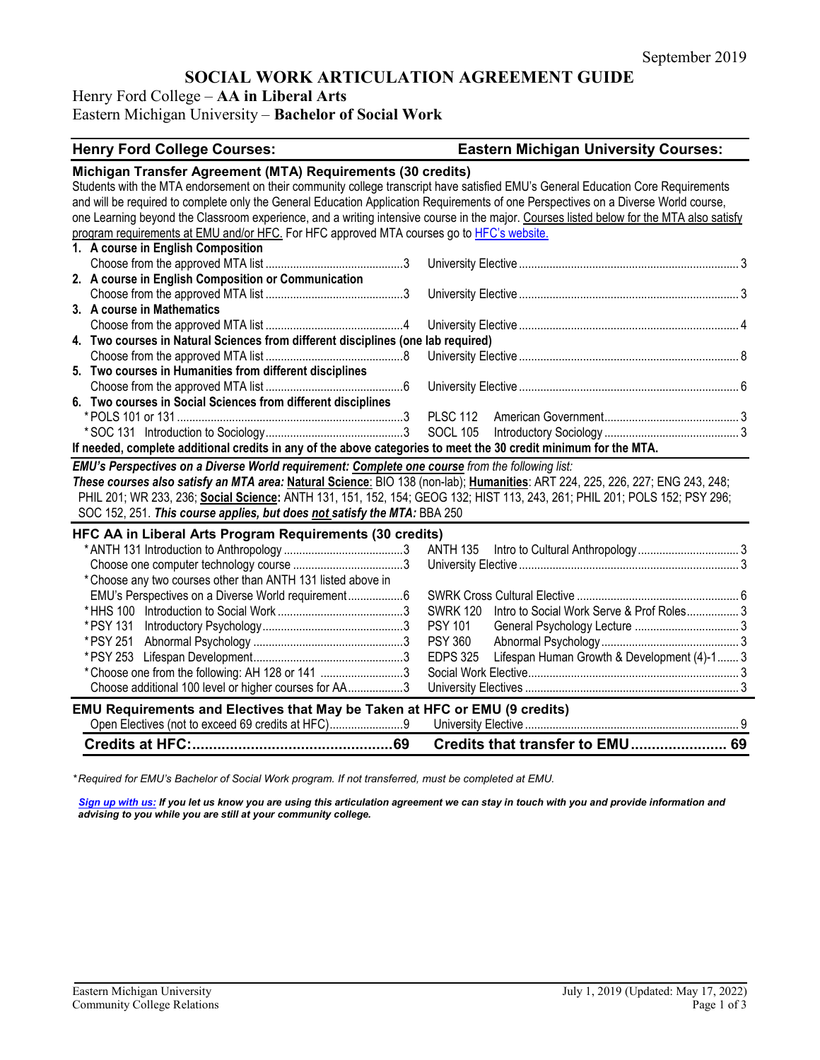# **SOCIAL WORK ARTICULATION AGREEMENT GUIDE**

Henry Ford College – **AA in Liberal Arts**

## Eastern Michigan University – **Bachelor of Social Work**

| <b>Henry Ford College Courses:</b>                                                                                                                                                              | <b>Eastern Michigan University Courses:</b>                    |  |  |  |  |
|-------------------------------------------------------------------------------------------------------------------------------------------------------------------------------------------------|----------------------------------------------------------------|--|--|--|--|
| Michigan Transfer Agreement (MTA) Requirements (30 credits)<br>Students with the MTA endorsement on their community college transcript have satisfied EMU's General Education Core Requirements |                                                                |  |  |  |  |
| and will be required to complete only the General Education Application Requirements of one Perspectives on a Diverse World course,                                                             |                                                                |  |  |  |  |
| one Learning beyond the Classroom experience, and a writing intensive course in the major. Courses listed below for the MTA also satisfy                                                        |                                                                |  |  |  |  |
| program requirements at EMU and/or HFC. For HFC approved MTA courses go to HFC's website.                                                                                                       |                                                                |  |  |  |  |
| 1. A course in English Composition                                                                                                                                                              |                                                                |  |  |  |  |
| 2. A course in English Composition or Communication                                                                                                                                             |                                                                |  |  |  |  |
|                                                                                                                                                                                                 |                                                                |  |  |  |  |
| 3. A course in Mathematics                                                                                                                                                                      |                                                                |  |  |  |  |
|                                                                                                                                                                                                 |                                                                |  |  |  |  |
| 4. Two courses in Natural Sciences from different disciplines (one lab required)                                                                                                                |                                                                |  |  |  |  |
|                                                                                                                                                                                                 |                                                                |  |  |  |  |
| 5. Two courses in Humanities from different disciplines                                                                                                                                         |                                                                |  |  |  |  |
|                                                                                                                                                                                                 |                                                                |  |  |  |  |
| 6. Two courses in Social Sciences from different disciplines                                                                                                                                    |                                                                |  |  |  |  |
|                                                                                                                                                                                                 |                                                                |  |  |  |  |
|                                                                                                                                                                                                 |                                                                |  |  |  |  |
| If needed, complete additional credits in any of the above categories to meet the 30 credit minimum for the MTA.                                                                                |                                                                |  |  |  |  |
| EMU's Perspectives on a Diverse World requirement: Complete one course from the following list:                                                                                                 |                                                                |  |  |  |  |
| These courses also satisfy an MTA area: Natural Science: BIO 138 (non-lab); Humanities: ART 224, 225, 226, 227; ENG 243, 248;                                                                   |                                                                |  |  |  |  |
| PHIL 201; WR 233, 236; Social Science: ANTH 131, 151, 152, 154; GEOG 132; HIST 113, 243, 261; PHIL 201; POLS 152; PSY 296;                                                                      |                                                                |  |  |  |  |
| SOC 152, 251. This course applies, but does not satisfy the MTA: BBA 250                                                                                                                        |                                                                |  |  |  |  |
| HFC AA in Liberal Arts Program Requirements (30 credits)                                                                                                                                        |                                                                |  |  |  |  |
|                                                                                                                                                                                                 |                                                                |  |  |  |  |
|                                                                                                                                                                                                 |                                                                |  |  |  |  |
| * Choose any two courses other than ANTH 131 listed above in                                                                                                                                    |                                                                |  |  |  |  |
| EMU's Perspectives on a Diverse World requirement6                                                                                                                                              |                                                                |  |  |  |  |
|                                                                                                                                                                                                 | Intro to Social Work Serve & Prof Roles 3<br><b>SWRK 120</b>   |  |  |  |  |
|                                                                                                                                                                                                 | <b>PSY 101</b>                                                 |  |  |  |  |
| * PSY 251                                                                                                                                                                                       | <b>PSY 360</b>                                                 |  |  |  |  |
|                                                                                                                                                                                                 | Lifespan Human Growth & Development (4)-1 3<br><b>EDPS 325</b> |  |  |  |  |
| *Choose one from the following: AH 128 or 141 3                                                                                                                                                 |                                                                |  |  |  |  |
| Choose additional 100 level or higher courses for AA3                                                                                                                                           |                                                                |  |  |  |  |
| EMU Requirements and Electives that May be Taken at HFC or EMU (9 credits)                                                                                                                      |                                                                |  |  |  |  |
| Open Electives (not to exceed 69 credits at HFC)9                                                                                                                                               |                                                                |  |  |  |  |
|                                                                                                                                                                                                 |                                                                |  |  |  |  |
|                                                                                                                                                                                                 | Credits that transfer to EMU 69                                |  |  |  |  |

*\* Required for EMU's Bachelor of Social Work program. If not transferred, must be completed at EMU.* 

*[Sign up with us:](https://www.emich.edu/ccr/articulation-agreements/signup.php) If you let us know you are using this articulation agreement we can stay in touch with you and provide information and advising to you while you are still at your community college.*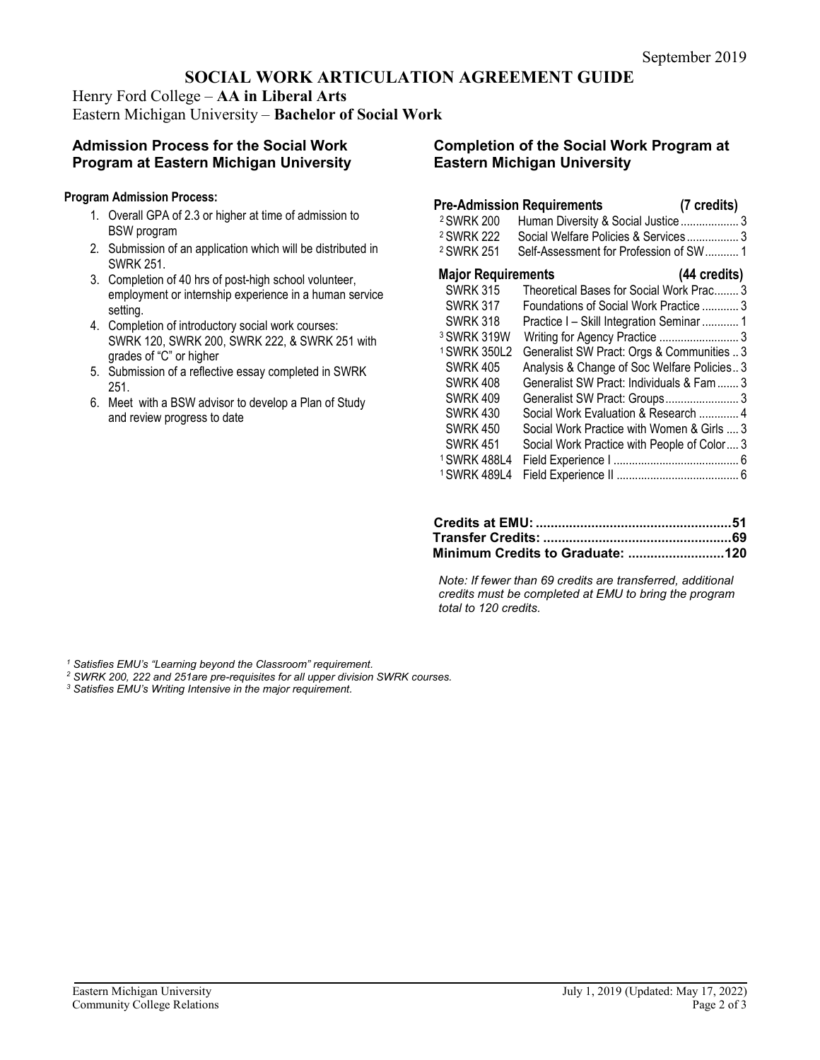## **SOCIAL WORK ARTICULATION AGREEMENT GUIDE**

Henry Ford College – **AA in Liberal Arts** Eastern Michigan University – **Bachelor of Social Work**

### **Admission Process for the Social Work Program at Eastern Michigan University**

#### **Program Admission Process:**

- 1. Overall GPA of 2.3 or higher at time of admission to BSW program
- 2. Submission of an application which will be distributed in SWRK 251.
- 3. Completion of 40 hrs of post-high school volunteer, employment or internship experience in a human service setting.
- 4. Completion of introductory social work courses: SWRK 120, SWRK 200, SWRK 222, & SWRK 251 with grades of "C" or higher
- 5. Submission of a reflective essay completed in SWRK 251.
- 6. Meet with a BSW advisor to develop a Plan of Study and review progress to date

#### **Completion of the Social Work Program at Eastern Michigan University**

### **Pre-Admission Requirements (7 credits)**

| <sup>2</sup> SWRK 200<br><sup>2</sup> SWRK 222 | Human Diversity & Social Justice  3<br>Social Welfare Policies & Services 3 |  |
|------------------------------------------------|-----------------------------------------------------------------------------|--|
| <sup>2</sup> SWRK 251                          | Self-Assessment for Profession of SW 1                                      |  |
| <b>Major Requirements</b>                      | (44 credits)                                                                |  |
| <b>SWRK 315</b>                                | Theoretical Bases for Social Work Prac 3                                    |  |
| <b>SWRK 317</b>                                | Foundations of Social Work Practice  3                                      |  |
| <b>SWRK 318</b>                                | Practice I - Skill Integration Seminar  1                                   |  |
| <sup>3</sup> SWRK 319W                         | Writing for Agency Practice  3                                              |  |
| <sup>1</sup> SWRK 350L2                        | Generalist SW Pract: Orgs & Communities  3                                  |  |
| <b>SWRK 405</b>                                | Analysis & Change of Soc Welfare Policies 3                                 |  |
| <b>SWRK 408</b>                                | Generalist SW Pract: Individuals & Fam  3                                   |  |
| <b>SWRK 409</b>                                | Generalist SW Pract: Groups 3                                               |  |
| <b>SWRK 430</b>                                | Social Work Evaluation & Research  4                                        |  |
| <b>SWRK 450</b>                                | Social Work Practice with Women & Girls  3                                  |  |
| <b>SWRK 451</b>                                | Social Work Practice with People of Color 3                                 |  |
| <sup>1</sup> SWRK 488L4                        |                                                                             |  |
| <sup>1</sup> SWRK 489L4                        |                                                                             |  |
|                                                |                                                                             |  |

| Minimum Credits to Graduate: 120 |  |
|----------------------------------|--|

*Note: If fewer than 69 credits are transferred, additional credits must be completed at EMU to bring the program total to 120 credits.*

*<sup>1</sup> Satisfies EMU's "Learning beyond the Classroom" requirement.*

- *<sup>2</sup> SWRK 200, 222 and 251are pre-requisites for all upper division SWRK courses. 3 Satisfies EMU's Writing Intensive in the major requirement.*
-